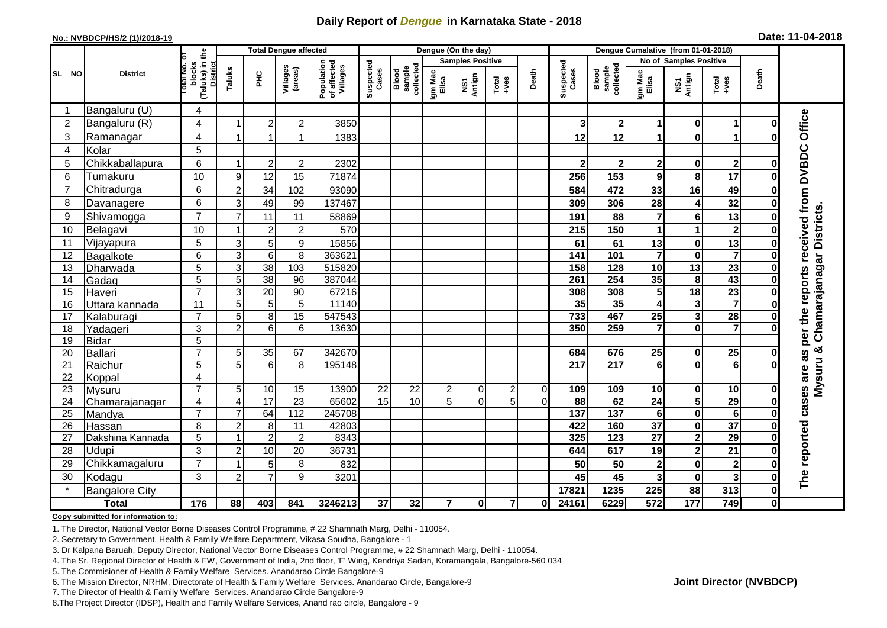## **Daily Report of** *Dengue* **in Karnataka State - 2018**

#### **No.: NVBDCP/HS/2 (1)/2018-19**

|  |  | Date: 11-04-2018 |  |
|--|--|------------------|--|
|--|--|------------------|--|

|                | <b>Total Dengue affected</b> |                                                       |                           |                 |                     |                                       | Dengue (On the day) |                              |                         |                         |                |                |                    | Dengue Cumalative (from 01-01-2018) |                         |                         |                         |              |                                                                  |  |
|----------------|------------------------------|-------------------------------------------------------|---------------------------|-----------------|---------------------|---------------------------------------|---------------------|------------------------------|-------------------------|-------------------------|----------------|----------------|--------------------|-------------------------------------|-------------------------|-------------------------|-------------------------|--------------|------------------------------------------------------------------|--|
|                |                              |                                                       |                           |                 |                     |                                       |                     |                              |                         | <b>Samples Positive</b> |                |                |                    |                                     |                         | No of Samples Positive  |                         |              |                                                                  |  |
| SL NO          | <b>District</b>              | (Taluks) in the<br>District<br>lotal No. ol<br>blocks | Taluks                    | ЭH              | Villages<br>(areas) | Population<br>of affected<br>Villages | Suspected<br>Cases  | sample<br>collected<br>Blood | Igm Mac<br>Elisa        | NS1<br>Antign           | $Total$        | Death          | Suspected<br>Cases | Blood<br>sample<br>collected        | Igm Mac<br>Elisa        | NS1<br>Antign           | Total<br>$+ve$ s        | Death        |                                                                  |  |
|                | Bangaluru (U)                | 4                                                     |                           |                 |                     |                                       |                     |                              |                         |                         |                |                |                    |                                     |                         |                         |                         |              |                                                                  |  |
| $\overline{2}$ | Bangaluru (R)                | 4                                                     | -1                        | $\overline{2}$  | $\mathbf 2$         | 3850                                  |                     |                              |                         |                         |                |                | 3                  | 2 <sup>1</sup>                      | 1                       | $\mathbf 0$             | $\mathbf 1$             | $\bf{0}$     | Office                                                           |  |
| 3              | Ramanagar                    | 4                                                     |                           |                 | 1                   | 1383                                  |                     |                              |                         |                         |                |                | 12                 | 12                                  | 1                       | $\mathbf 0$             | 1                       |              |                                                                  |  |
| 4              | Kolar                        | 5                                                     |                           |                 |                     |                                       |                     |                              |                         |                         |                |                |                    |                                     |                         |                         |                         |              |                                                                  |  |
| 5              | Chikkaballapura              | 6                                                     | -1                        | $\overline{2}$  | $\boldsymbol{2}$    | 2302                                  |                     |                              |                         |                         |                |                | $\overline{2}$     | $\mathbf{2}$                        | 2                       | 0                       | $\mathbf{2}$            | 0            |                                                                  |  |
| 6              | Tumakuru                     | 10                                                    | 9                         | 12              | 15                  | 71874                                 |                     |                              |                         |                         |                |                | 256                | 153                                 | 9                       | 8                       | 17                      | O            |                                                                  |  |
| $\overline{7}$ | Chitradurga                  | 6                                                     | $\overline{c}$            | 34              | 102                 | 93090                                 |                     |                              |                         |                         |                |                | 584                | 472                                 | 33                      | 16                      | 49                      | 0            |                                                                  |  |
| 8              | Davanagere                   | 6                                                     | 3                         | 49              | 99                  | 137467                                |                     |                              |                         |                         |                |                | 309                | 306                                 | 28                      | 4                       | 32                      | ŋ            |                                                                  |  |
| 9              | Shivamogga                   | $\overline{7}$                                        | $\overline{7}$            | 11              | 11                  | 58869                                 |                     |                              |                         |                         |                |                | 191                | 88                                  | 7                       | $\bf 6$                 | 13                      | 0            | per the reports received from DVBDC<br>Chamarajanagar Districts. |  |
| 10             | Belagavi                     | 10                                                    |                           | $\overline{c}$  | $\overline{c}$      | 570                                   |                     |                              |                         |                         |                |                | 215                | 150                                 | 1                       | 1                       | $\mathbf{2}$            | O            |                                                                  |  |
| 11             | Vijayapura                   | 5                                                     | $\mathsf 3$               | 5               | 9                   | 15856                                 |                     |                              |                         |                         |                |                | 61                 | 61                                  | 13                      | $\pmb{0}$               | 13                      | 0            |                                                                  |  |
| 12             | Bagalkote                    | 6                                                     | $\mathbf{3}$              | $\,6$           | 8                   | 363621                                |                     |                              |                         |                         |                |                | 141                | 101                                 | $\overline{\mathbf{7}}$ | $\mathbf 0$             | $\overline{\mathbf{7}}$ | 0            |                                                                  |  |
| 13             | Dharwada                     | 5                                                     | $\ensuremath{\mathsf{3}}$ | 38              | $\frac{103}{2}$     | 515820                                |                     |                              |                         |                         |                |                | 158                | 128                                 | 10                      | $\overline{13}$         | 23                      | 0            |                                                                  |  |
| 14             | Gadag                        | 5                                                     | 5                         | $\overline{38}$ | 96                  | 387044                                |                     |                              |                         |                         |                |                | 261                | 254                                 | 35                      | 8                       | 43                      | O            |                                                                  |  |
| 15             | Haveri                       | $\overline{7}$                                        | 3                         | 20              | 90                  | 67216                                 |                     |                              |                         |                         |                |                | 308                | 308                                 | 5                       | 18                      | 23                      | 0            |                                                                  |  |
| 16             | Uttara kannada               | 11                                                    | 5                         | 5               | 5                   | 11140                                 |                     |                              |                         |                         |                |                | 35                 | 35                                  | 4                       | $\mathbf 3$             | $\overline{7}$          | O            |                                                                  |  |
| 17             | Kalaburagi                   | $\overline{7}$                                        | 5                         | 8               | 15                  | 547543                                |                     |                              |                         |                         |                |                | 733                | 467                                 | $\overline{25}$         | $\overline{\mathbf{3}}$ | 28                      | $\bf{0}$     |                                                                  |  |
| 18             | Yadageri                     | 3                                                     | $\overline{2}$            | 6               | 6                   | 13630                                 |                     |                              |                         |                         |                |                | 350                | 259                                 | $\overline{7}$          | $\mathbf 0$             | $\overline{7}$          |              |                                                                  |  |
| 19             | <b>Bidar</b>                 | $\overline{5}$                                        |                           |                 |                     |                                       |                     |                              |                         |                         |                |                |                    |                                     |                         |                         |                         |              |                                                                  |  |
| 20             | <b>Ballari</b>               | $\overline{7}$                                        | 5                         | 35              | 67                  | 342670                                |                     |                              |                         |                         |                |                | 684                | 676                                 | 25                      | 0                       | 25                      | 0            | ×<br>8g                                                          |  |
| 21             | Raichur                      | 5                                                     | 5                         | $6\phantom{1}6$ | 8                   | 195148                                |                     |                              |                         |                         |                |                | 217                | $\overline{217}$                    | $6\phantom{a}$          | $\mathbf 0$             | $\overline{\mathbf{6}}$ | U            | Mysuru                                                           |  |
| 22             | Koppal                       | 4                                                     |                           |                 |                     |                                       |                     |                              |                         |                         |                |                |                    |                                     |                         |                         |                         |              |                                                                  |  |
| 23             | Mysuru                       | $\overline{7}$                                        | 5                         | 10              | 15                  | 13900                                 | 22                  | 22                           | $\overline{\mathbf{c}}$ | $\mathbf 0$             | $\overline{c}$ | $\overline{O}$ | 109                | 109                                 | 10                      | $\pmb{0}$               | 10                      | 0            |                                                                  |  |
| 24             | Chamarajanagar               | $\overline{4}$                                        | $\overline{4}$            | 17              | 23                  | 65602                                 | 15                  | 10                           | $\overline{5}$          | $\Omega$                | $\overline{5}$ | $\Omega$       | 88                 | 62                                  | $\overline{24}$         | $\overline{\mathbf{5}}$ | 29                      | $\bf{0}$     | cases are                                                        |  |
| 25             | Mandya                       | $\overline{7}$                                        | $\overline{7}$            | 64              | 112                 | 245708                                |                     |                              |                         |                         |                |                | $\overline{137}$   | $\overline{137}$                    | $\overline{\mathbf{6}}$ | $\overline{\mathbf{0}}$ | $\overline{6}$          | $\bf{0}$     |                                                                  |  |
| 26             | Hassan                       | 8                                                     | $\overline{2}$            | 8               | 11                  | 42803                                 |                     |                              |                         |                         |                |                | 422                | 160                                 | $\overline{37}$         | $\pmb{0}$               | $\overline{37}$         | 0            |                                                                  |  |
| 27             | Dakshina Kannada             | 5                                                     | 1                         | $\overline{2}$  | $\overline{c}$      | 8343                                  |                     |                              |                         |                         |                |                | 325                | $\overline{123}$                    | $\overline{27}$         | $\overline{2}$          | 29                      | $\bf{0}$     |                                                                  |  |
| 28             | Udupi                        | 3                                                     | $\overline{2}$            | 10              | 20                  | 36731                                 |                     |                              |                         |                         |                |                | 644                | 617                                 | 19                      | $\mathbf{2}$            | 21                      | ŋ            |                                                                  |  |
| 29             | Chikkamagaluru               | $\overline{7}$                                        |                           | 5               | 8                   | 832                                   |                     |                              |                         |                         |                |                | 50                 | 50                                  | $\overline{\mathbf{2}}$ | $\mathbf 0$             | $\overline{\mathbf{2}}$ | ŋ            |                                                                  |  |
| 30             | Kodagu                       | 3                                                     | $\overline{c}$            | $\overline{7}$  | 9                   | 3201                                  |                     |                              |                         |                         |                |                | 45                 | 45                                  | $\overline{\mathbf{3}}$ | $\pmb{0}$               | $\overline{\mathbf{3}}$ | 0            | The reported                                                     |  |
|                | <b>Bangalore City</b>        |                                                       |                           |                 |                     |                                       |                     |                              |                         |                         |                |                | 17821              | 1235                                | 225                     | 88                      | 313                     | $\mathbf 0$  |                                                                  |  |
|                | <b>Total</b>                 | $\frac{1}{176}$                                       | 88                        | 403             | 841                 | 3246213                               | $\overline{37}$     | 32                           | $\overline{7}$          | $\mathbf 0$             | $\overline{7}$ | Οl             | 24161              | 6229                                | 572                     | 177                     | 749                     | $\mathbf{0}$ |                                                                  |  |

#### **Copy submitted for information to:**

1. The Director, National Vector Borne Diseases Control Programme, # 22 Shamnath Marg, Delhi - 110054.

2. Secretary to Government, Health & Family Welfare Department, Vikasa Soudha, Bangalore - 1

3. Dr Kalpana Baruah, Deputy Director, National Vector Borne Diseases Control Programme, # 22 Shamnath Marg, Delhi - 110054.

4. The Sr. Regional Director of Health & FW, Government of India, 2nd floor, 'F' Wing, Kendriya Sadan, Koramangala, Bangalore-560 034

5. The Commisioner of Health & Family Welfare Services. Anandarao Circle Bangalore-9

6. The Mission Director, NRHM, Directorate of Health & Family Welfare Services. Anandarao Circle, Bangalore-9

7. The Director of Health & Family Welfare Services. Anandarao Circle Bangalore-9

8.The Project Director (IDSP), Health and Family Welfare Services, Anand rao circle, Bangalore - 9